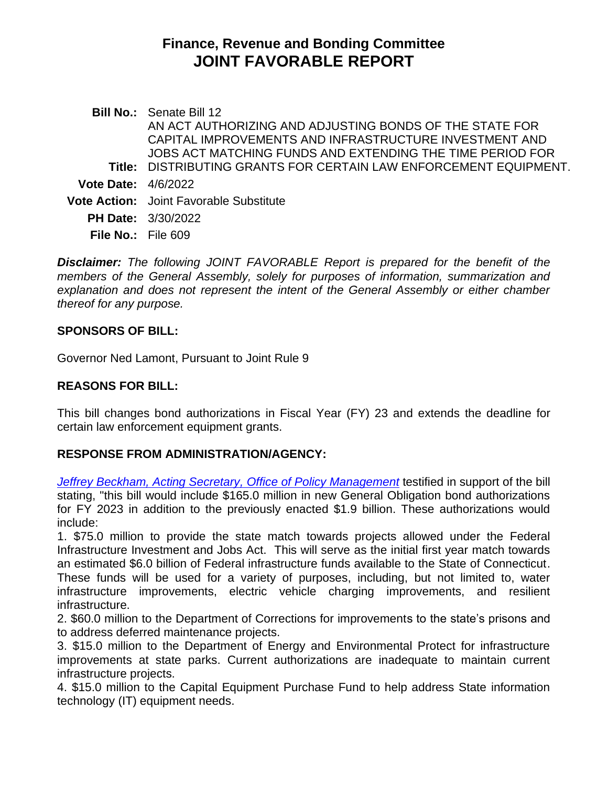# **Finance, Revenue and Bonding Committee JOINT FAVORABLE REPORT**

**Bill No.:** Senate Bill 12 **Title:** DISTRIBUTING GRANTS FOR CERTAIN LAW ENFORCEMENT EQUIPMENT. AN ACT AUTHORIZING AND ADJUSTING BONDS OF THE STATE FOR CAPITAL IMPROVEMENTS AND INFRASTRUCTURE INVESTMENT AND JOBS ACT MATCHING FUNDS AND EXTENDING THE TIME PERIOD FOR **Vote Date:** 4/6/2022 **Vote Action:** Joint Favorable Substitute **PH Date:** 3/30/2022 **File No.:** File 609

*Disclaimer: The following JOINT FAVORABLE Report is prepared for the benefit of the members of the General Assembly, solely for purposes of information, summarization and explanation and does not represent the intent of the General Assembly or either chamber thereof for any purpose.*

#### **SPONSORS OF BILL:**

Governor Ned Lamont, Pursuant to Joint Rule 9

#### **REASONS FOR BILL:**

This bill changes bond authorizations in Fiscal Year (FY) 23 and extends the deadline for certain law enforcement equipment grants.

# **RESPONSE FROM ADMINISTRATION/AGENCY:**

*[Jeffrey Beckham, Acting Secretary, Office of Policy Management](https://cga.ct.gov/2022/FINdata/Tmy/2022SB-00012-R000330-Beckham,%20Jeffrey,%20Acting%20Secretary,%20Office%20of%20Policy%20Management%20-%20Support-TMY.PDF)* testified in support of the bill stating, "this bill would include \$165.0 million in new General Obligation bond authorizations for FY 2023 in addition to the previously enacted \$1.9 billion. These authorizations would include:

1. \$75.0 million to provide the state match towards projects allowed under the Federal Infrastructure Investment and Jobs Act. This will serve as the initial first year match towards an estimated \$6.0 billion of Federal infrastructure funds available to the State of Connecticut. These funds will be used for a variety of purposes, including, but not limited to, water infrastructure improvements, electric vehicle charging improvements, and resilient infrastructure.

2. \$60.0 million to the Department of Corrections for improvements to the state's prisons and to address deferred maintenance projects.

3. \$15.0 million to the Department of Energy and Environmental Protect for infrastructure improvements at state parks. Current authorizations are inadequate to maintain current infrastructure projects.

4. \$15.0 million to the Capital Equipment Purchase Fund to help address State information technology (IT) equipment needs.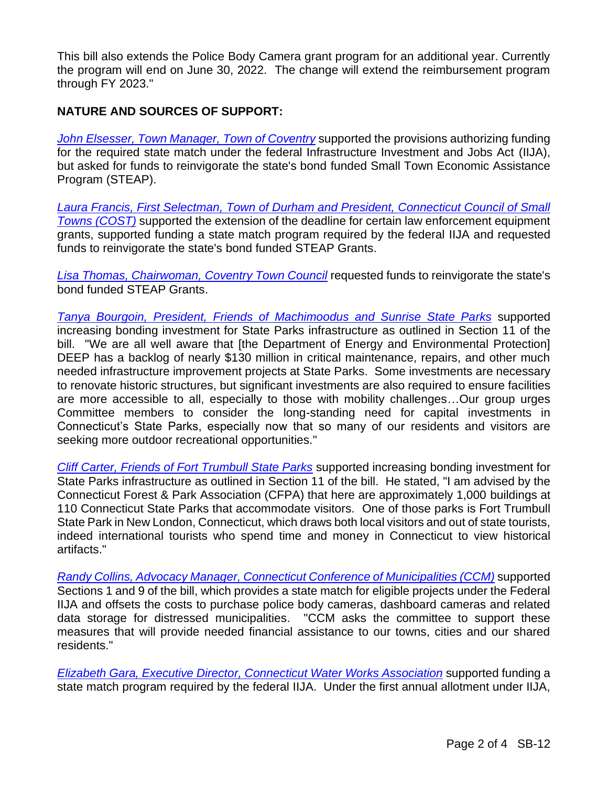This bill also extends the Police Body Camera grant program for an additional year. Currently the program will end on June 30, 2022. The change will extend the reimbursement program through FY 2023."

### **NATURE AND SOURCES OF SUPPORT:**

*[John Elsesser, Town Manager, Town](https://cga.ct.gov/2022/FINdata/Tmy/2022SB-00012-R000330-Elsesser,%20John,%20Town%20Manager,%20Town%20Coventry-TMY.PDF) of Coventry* supported the provisions authorizing funding for the required state match under the federal Infrastructure Investment and Jobs Act (IIJA), but asked for funds to reinvigorate the state's bond funded Small Town Economic Assistance Program (STEAP).

*[Laura Francis, First Selectman, Town of Durham](https://cga.ct.gov/2022/FINdata/Tmy/2022SB-00012-R000330-Francis,%20Laura,%20First%20Selectman,%20Town%20of%20Durham-TMY.PDF) and President, Connecticut Council of Small Towns [\(COST\)](https://cga.ct.gov/2022/FINdata/Tmy/2022SB-00012-R000330-Francis,%20Laura,%20First%20Selectman,%20Town%20of%20Durham-TMY.PDF)* supported the extension of the deadline for certain law enforcement equipment grants, supported funding a state match program required by the federal IIJA and requested funds to reinvigorate the state's bond funded STEAP Grants.

*[Lisa Thomas, Chairwoman, Coventry Town Council](https://cga.ct.gov/2022/FINdata/Tmy/2022SB-00012-R000330-Thomas,%20Lisa,%20Chairwoman,%20Coventry%20Town%20Council-TMY.PDF)* requested funds to reinvigorate the state's bond funded STEAP Grants.

*[Tanya Bourgoin, President, Friends of Machimoodus and Sunrise State Parks](https://cga.ct.gov/2022/FINdata/Tmy/2022SB-00012-R000330-Bourgoin,%20Tanya,%20President,%20Friends%20of%20Machimoodus%20and%20Sunrise%20State%20Parks%20-%20Support-TMY.PDF)* supported increasing bonding investment for State Parks infrastructure as outlined in Section 11 of the bill. "We are all well aware that [the Department of Energy and Environmental Protection] DEEP has a backlog of nearly \$130 million in critical maintenance, repairs, and other much needed infrastructure improvement projects at State Parks. Some investments are necessary to renovate historic structures, but significant investments are also required to ensure facilities are more accessible to all, especially to those with mobility challenges…Our group urges Committee members to consider the long-standing need for capital investments in Connecticut's State Parks, especially now that so many of our residents and visitors are seeking more outdoor recreational opportunities."

*[Cliff Carter, Friends of Fort Trumbull State Parks](https://cga.ct.gov/2022/FINdata/Tmy/2022SB-00012-R000330-Carter,%20Cliff,%20Friends%20of%20Fort%20Trumbull%20State%20Parks%20-%20Support-TMY.PDF)* supported increasing bonding investment for State Parks infrastructure as outlined in Section 11 of the bill. He stated, "I am advised by the Connecticut Forest & Park Association (CFPA) that here are approximately 1,000 buildings at 110 Connecticut State Parks that accommodate visitors. One of those parks is Fort Trumbull State Park in New London, Connecticut, which draws both local visitors and out of state tourists, indeed international tourists who spend time and money in Connecticut to view historical artifacts."

*[Randy Collins, Advocacy Manager, Connecticut Conference of Municipalities](https://cga.ct.gov/2022/FINdata/Tmy/2022SB-00012-R000330-Collins,%20Randy,%20Advocacy%20Manager,%20Connecticut%20Conference%20of%20Municipalities%20-%20Support-TMY.PDF) (CCM)* supported Sections 1 and 9 of the bill, which provides a state match for eligible projects under the Federal IIJA and offsets the costs to purchase police body cameras, dashboard cameras and related data storage for distressed municipalities. "CCM asks the committee to support these measures that will provide needed financial assistance to our towns, cities and our shared residents."

*[Elizabeth Gara, Executive Director, Connecticut Water Works Association](https://cga.ct.gov/2022/FINdata/Tmy/2022SB-00012-R000330-Gara,%20Elizabeth,%20Executive%20Director,%20Connecticut%20Water%20Works%20Association%20-%20Support-TMY.PDF)* supported funding a state match program required by the federal IIJA. Under the first annual allotment under IIJA,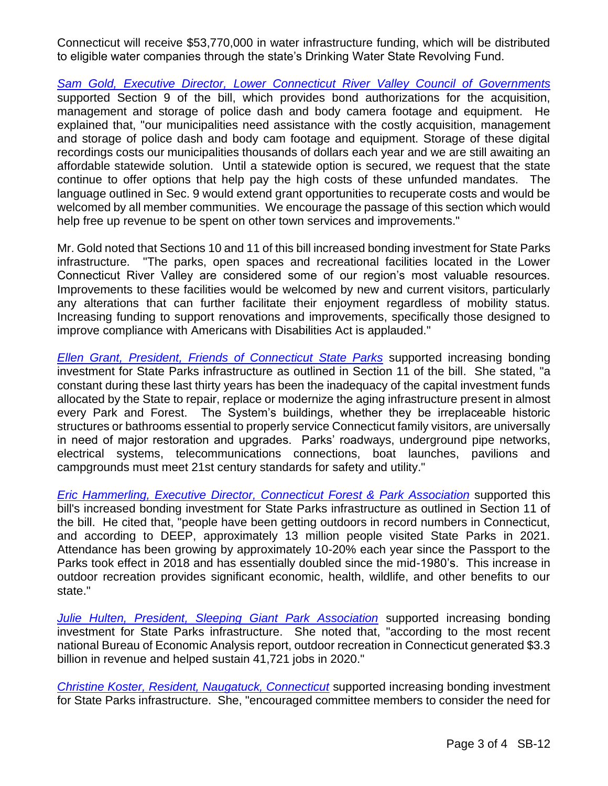Connecticut will receive \$53,770,000 in water infrastructure funding, which will be distributed to eligible water companies through the state's Drinking Water State Revolving Fund.

*Sam Gold, Executive Director, [Lower Connecticut River Valley Council of Governments](https://cga.ct.gov/2022/FINdata/Tmy/2022SB-00012-R000330-Gold,%20Sam,%20Executive%20Director,%20Lower%20Connecticut%20River%20Valley%20Council%20of%20Governments%20-%20Support-TMY.PDF)* supported Section 9 of the bill, which provides bond authorizations for the acquisition, management and storage of police dash and body camera footage and equipment. He explained that, "our municipalities need assistance with the costly acquisition, management and storage of police dash and body cam footage and equipment. Storage of these digital recordings costs our municipalities thousands of dollars each year and we are still awaiting an affordable statewide solution. Until a statewide option is secured, we request that the state continue to offer options that help pay the high costs of these unfunded mandates. The language outlined in Sec. 9 would extend grant opportunities to recuperate costs and would be welcomed by all member communities. We encourage the passage of this section which would help free up revenue to be spent on other town services and improvements."

Mr. Gold noted that Sections 10 and 11 of this bill increased bonding investment for State Parks infrastructure. "The parks, open spaces and recreational facilities located in the Lower Connecticut River Valley are considered some of our region's most valuable resources. Improvements to these facilities would be welcomed by new and current visitors, particularly any alterations that can further facilitate their enjoyment regardless of mobility status. Increasing funding to support renovations and improvements, specifically those designed to improve compliance with Americans with Disabilities Act is applauded."

*[Ellen Grant, President, Friends of Connecticut](https://cga.ct.gov/2022/FINdata/Tmy/2022SB-00012-R000330-Grant,%20Ellen,%20President,%20Friends%20of%20Connecticut%20State%20Parks%20-%20Support-TMY.PDF) State Parks* supported increasing bonding investment for State Parks infrastructure as outlined in Section 11 of the bill. She stated, "a constant during these last thirty years has been the inadequacy of the capital investment funds allocated by the State to repair, replace or modernize the aging infrastructure present in almost every Park and Forest. The System's buildings, whether they be irreplaceable historic structures or bathrooms essential to properly service Connecticut family visitors, are universally in need of major restoration and upgrades. Parks' roadways, underground pipe networks, electrical systems, telecommunications connections, boat launches, pavilions and campgrounds must meet 21st century standards for safety and utility."

*[Eric Hammerling, Executive Director, Connecticut Forest & Park](https://cga.ct.gov/2022/FINdata/Tmy/2022SB-00012-R000330-Hammerling,%20Eric,%20Executive%20Director,%20Connecticut%20Forest%20and%20Park%20Association%20-%20Support-TMY.PDF) Association* supported this bill's increased bonding investment for State Parks infrastructure as outlined in Section 11 of the bill. He cited that, "people have been getting outdoors in record numbers in Connecticut, and according to DEEP, approximately 13 million people visited State Parks in 2021. Attendance has been growing by approximately 10-20% each year since the Passport to the Parks took effect in 2018 and has essentially doubled since the mid-1980's. This increase in outdoor recreation provides significant economic, health, wildlife, and other benefits to our state."

*[Julie Hulten, President, Sleeping Giant Park Association](https://cga.ct.gov/2022/FINdata/Tmy/2022SB-00012-R000330-Hulten,%20Julie,%20President,%20Sleeping%20Giant%20Park%20Association%20-%20Support-TMY.PDF)* supported increasing bonding investment for State Parks infrastructure. She noted that, "according to the most recent national Bureau of Economic Analysis report, outdoor recreation in Connecticut generated \$3.3 billion in revenue and helped sustain 41,721 jobs in 2020."

*[Christine Koster, Resident, Naugatuck, Connecticut](https://cga.ct.gov/2022/FINdata/Tmy/2022SB-00012-R000330-Koster,%20Christine,%20Resident,%20Naugatuck,%20Connecticut%20-%20Support-TMY.PDF)* supported increasing bonding investment for State Parks infrastructure. She, "encouraged committee members to consider the need for